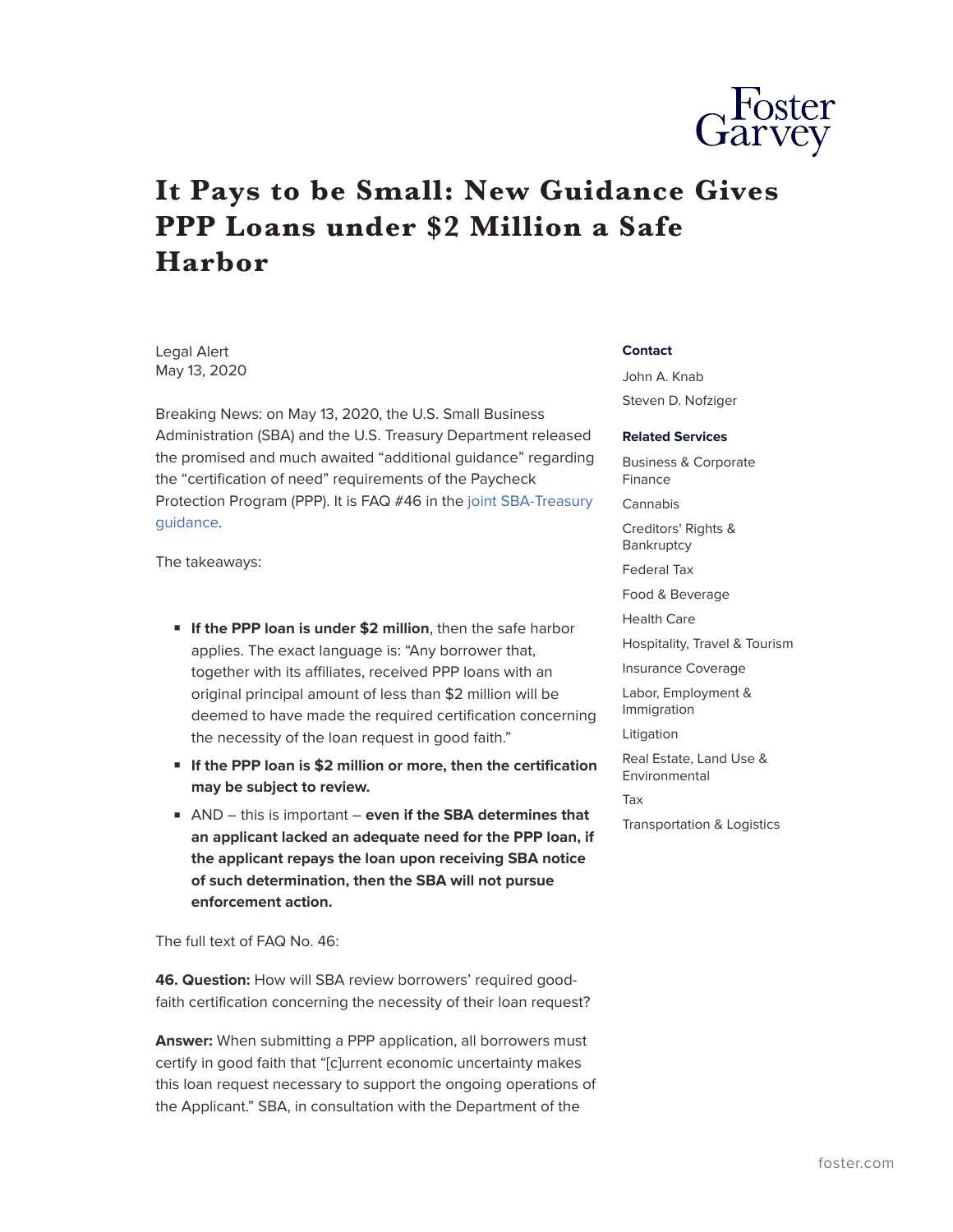

## **It Pays to be Small: New Guidance Gives PPP Loans under \$2 Million a Safe Harbor**

Legal Alert May 13, 2020

Breaking News: on May 13, 2020, the U.S. Small Business Administration (SBA) and the U.S. Treasury Department released the promised and much awaited "additional guidance" regarding the "certification of need" requirements of the Paycheck Protection Program (PPP). It is FAQ #46 in the [joint SBA-Treasury](https://home.treasury.gov/system/files/136/Paycheck-Protection-Program-Frequently-Asked-Questions.pdf) [guidance.](https://home.treasury.gov/system/files/136/Paycheck-Protection-Program-Frequently-Asked-Questions.pdf)

The takeaways:

- **If the PPP loan is under \$2 million**, then the safe harbor applies. The exact language is: "Any borrower that, together with its affiliates, received PPP loans with an original principal amount of less than \$2 million will be deemed to have made the required certification concerning the necessity of the loan request in good faith."
- **If the PPP loan is \$2 million or more, then the certification may be subject to review.**
- AND this is important **even if the SBA determines that an applicant lacked an adequate need for the PPP loan, if the applicant repays the loan upon receiving SBA notice of such determination, then the SBA will not pursue enforcement action.**

The full text of FAQ No. 46:

**46. Question:** How will SBA review borrowers' required goodfaith certification concerning the necessity of their loan request?

**Answer:** When submitting a PPP application, all borrowers must certify in good faith that "[c]urrent economic uncertainty makes this loan request necessary to support the ongoing operations of the Applicant." SBA, in consultation with the Department of the

## **Contact**

John A. Knab Steven D. Nofziger

## **Related Services**

Business & Corporate Finance Cannabis

Creditors' Rights & **Bankruptcy** 

Federal Tax

Food & Beverage

Health Care

Hospitality, Travel & Tourism

Insurance Coverage

Labor, Employment & Immigration

Litigation

Real Estate, Land Use & Environmental Tax

Transportation & Logistics